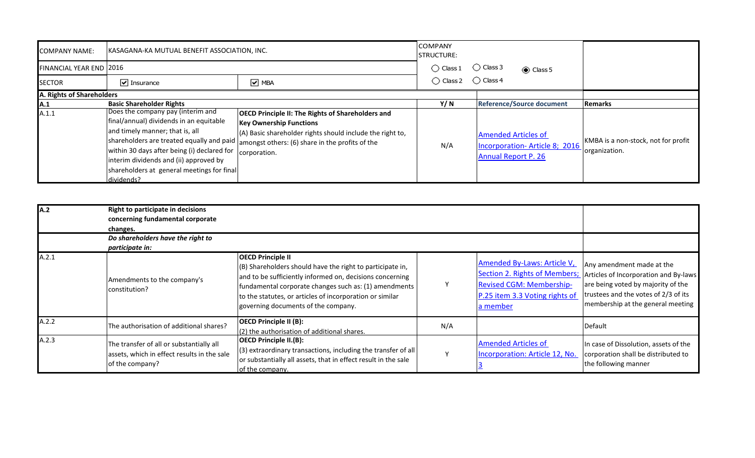| <b>COMPANY NAME:</b>           | <b>IKASAGANA-KA MUTUAL BENEFIT ASSOCIATION, INC.</b>                                                                                                                                                                                                                 |                                                                                                                                                                                                                                                                      | <b>COMPANY</b><br><b>STRUCTURE:</b> |                                                                                                  |                                                      |
|--------------------------------|----------------------------------------------------------------------------------------------------------------------------------------------------------------------------------------------------------------------------------------------------------------------|----------------------------------------------------------------------------------------------------------------------------------------------------------------------------------------------------------------------------------------------------------------------|-------------------------------------|--------------------------------------------------------------------------------------------------|------------------------------------------------------|
| <b>FINANCIAL YEAR END 2016</b> |                                                                                                                                                                                                                                                                      |                                                                                                                                                                                                                                                                      | $\bigcirc$ Class 1                  | $\bigcirc$ Class 3<br>Class 5                                                                    |                                                      |
| <b>SECTOR</b>                  | $\boxed{\mathbf{v}}$ Insurance                                                                                                                                                                                                                                       | $\boxed{\triangledown}$ MBA                                                                                                                                                                                                                                          | $\bigcirc$ Class 2                  | $\bigcirc$ Class 4                                                                               |                                                      |
| A. Rights of Shareholders      |                                                                                                                                                                                                                                                                      |                                                                                                                                                                                                                                                                      |                                     |                                                                                                  |                                                      |
| A.1                            | <b>Basic Shareholder Rights</b>                                                                                                                                                                                                                                      |                                                                                                                                                                                                                                                                      | Y/ N                                | <b>Reference/Source document</b>                                                                 | <b>Remarks</b>                                       |
| A.1.1                          | Does the company pay (interim and<br>final/annual) dividends in an equitable<br>and timely manner; that is, all<br>within 30 days after being (i) declared for<br>interim dividends and (ii) approved by<br>shareholders at general meetings for final<br>dividends? | <b>OECD Principle II: The Rights of Shareholders and</b><br><b>Key Ownership Functions</b><br>(A) Basic shareholder rights should include the right to,<br>shareholders are treated equally and paid amongst others: (6) share in the profits of the<br>corporation. | N/A                                 | <b>Amended Articles of</b><br><b>Incorporation-Article 8; 2016</b><br><b>Annual Report P. 26</b> | KMBA is a non-stock, not for profit<br>organization. |

| <b>JA.2</b> | <b>Right to participate in decisions</b><br>concerning fundamental corporate<br>changes.                   |                                                                                                                                                                                                                                                                                                               |     |                                                                                                              |                                                                                                                                                                                                                     |  |
|-------------|------------------------------------------------------------------------------------------------------------|---------------------------------------------------------------------------------------------------------------------------------------------------------------------------------------------------------------------------------------------------------------------------------------------------------------|-----|--------------------------------------------------------------------------------------------------------------|---------------------------------------------------------------------------------------------------------------------------------------------------------------------------------------------------------------------|--|
|             | Do shareholders have the right to<br>participate in:                                                       |                                                                                                                                                                                                                                                                                                               |     |                                                                                                              |                                                                                                                                                                                                                     |  |
| A.2.1       | Amendments to the company's<br>constitution?                                                               | <b>OECD Principle II</b><br>(B) Shareholders should have the right to participate in,<br>and to be sufficiently informed on, decisions concerning<br>fundamental corporate changes such as: (1) amendments<br>to the statutes, or articles of incorporation or similar<br>governing documents of the company. | Υ   | Amended By-Laws: Article V,<br><b>Revised CGM: Membership-</b><br>P.25 item 3.3 Voting rights of<br>a member | Any amendment made at the<br>Section 2. Rights of Members; Articles of Incorporation and By-laws<br>are being voted by majority of the<br>trustees and the votes of 2/3 of its<br>membership at the general meeting |  |
| A.2.2       | The authorisation of additional shares?                                                                    | <b>OECD Principle II (B):</b><br>(2) the authorisation of additional shares.                                                                                                                                                                                                                                  | N/A |                                                                                                              | Default                                                                                                                                                                                                             |  |
| A.2.3       | The transfer of all or substantially all<br>assets, which in effect results in the sale<br>of the company? | <b>OECD Principle II.(B):</b><br>(3) extraordinary transactions, including the transfer of all<br>or substantially all assets, that in effect result in the sale<br>of the company.                                                                                                                           | v   | <b>Amended Articles of</b><br>Incorporation: Article 12, No.                                                 | In case of Dissolution, assets of the<br>corporation shall be distributed to<br>the following manner                                                                                                                |  |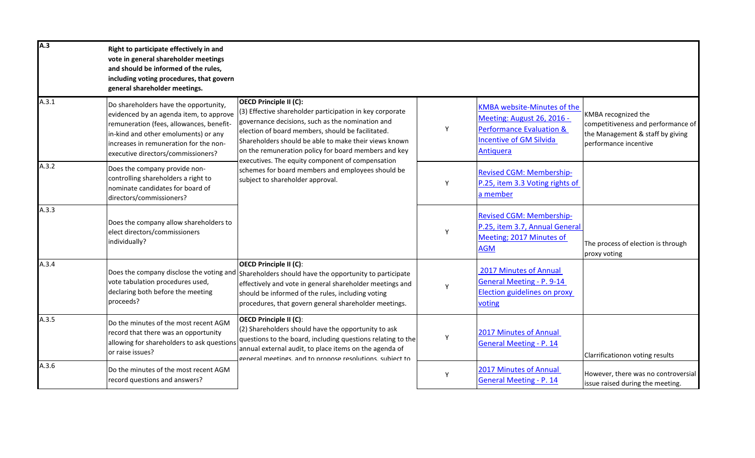| A.3   | Right to participate effectively in and<br>vote in general shareholder meetings<br>and should be informed of the rules,<br>including voting procedures, that govern<br>general shareholder meetings.                                                 |                                                                                                                                                                                                                                                                                                                                                                                                                                                                  |   |                                                                                                                                                        |                                                                                                                        |
|-------|------------------------------------------------------------------------------------------------------------------------------------------------------------------------------------------------------------------------------------------------------|------------------------------------------------------------------------------------------------------------------------------------------------------------------------------------------------------------------------------------------------------------------------------------------------------------------------------------------------------------------------------------------------------------------------------------------------------------------|---|--------------------------------------------------------------------------------------------------------------------------------------------------------|------------------------------------------------------------------------------------------------------------------------|
| A.3.1 | Do shareholders have the opportunity,<br>evidenced by an agenda item, to approve<br>remuneration (fees, allowances, benefit-<br>in-kind and other emoluments) or any<br>increases in remuneration for the non-<br>executive directors/commissioners? | <b>OECD Principle II (C):</b><br>(3) Effective shareholder participation in key corporate<br>governance decisions, such as the nomination and<br>election of board members, should be facilitated.<br>Shareholders should be able to make their views known<br>on the remuneration policy for board members and key<br>executives. The equity component of compensation<br>schemes for board members and employees should be<br>subject to shareholder approval. | Υ | <b>KMBA website-Minutes of the</b><br>Meeting: August 26, 2016 -<br><b>Performance Evaluation &amp;</b><br><b>Incentive of GM Silvida</b><br>Antiquera | KMBA recognized the<br>competitiveness and performance of<br>the Management & staff by giving<br>performance incentive |
| A.3.2 | Does the company provide non-<br>controlling shareholders a right to<br>nominate candidates for board of<br>directors/commissioners?                                                                                                                 |                                                                                                                                                                                                                                                                                                                                                                                                                                                                  | Y | <b>Revised CGM: Membership-</b><br>P.25, item 3.3 Voting rights of<br>a member                                                                         |                                                                                                                        |
| A.3.3 | Does the company allow shareholders to<br>elect directors/commissioners<br>individually?                                                                                                                                                             |                                                                                                                                                                                                                                                                                                                                                                                                                                                                  | Y | <b>Revised CGM: Membership-</b><br>P.25, item 3.7, Annual General<br>Meeting; 2017 Minutes of<br><b>AGM</b>                                            | The process of election is through<br>proxy voting                                                                     |
| A.3.4 | Does the company disclose the voting and<br>vote tabulation procedures used,<br>declaring both before the meeting<br>proceeds?                                                                                                                       | <b>OECD Principle II (C):</b><br>Shareholders should have the opportunity to participate<br>effectively and vote in general shareholder meetings and<br>should be informed of the rules, including voting<br>procedures, that govern general shareholder meetings.                                                                                                                                                                                               | Y | 2017 Minutes of Annual<br><b>General Meeting - P. 9-14</b><br>Election guidelines on proxy<br>voting                                                   |                                                                                                                        |
| A.3.5 | Do the minutes of the most recent AGM<br>record that there was an opportunity<br>allowing for shareholders to ask questions<br>or raise issues?                                                                                                      | <b>OECD Principle II (C):</b><br>(2) Shareholders should have the opportunity to ask<br>questions to the board, including questions relating to the<br>annual external audit, to place items on the agenda of<br>general meetings, and to propose resolutions, subject to                                                                                                                                                                                        | Y | 2017 Minutes of Annual<br><b>General Meeting - P. 14</b>                                                                                               | Clarrificationon voting results                                                                                        |
| A.3.6 | Do the minutes of the most recent AGM<br>record questions and answers?                                                                                                                                                                               |                                                                                                                                                                                                                                                                                                                                                                                                                                                                  | Y | 2017 Minutes of Annual<br><b>General Meeting - P. 14</b>                                                                                               | However, there was no controversial<br>issue raised during the meeting.                                                |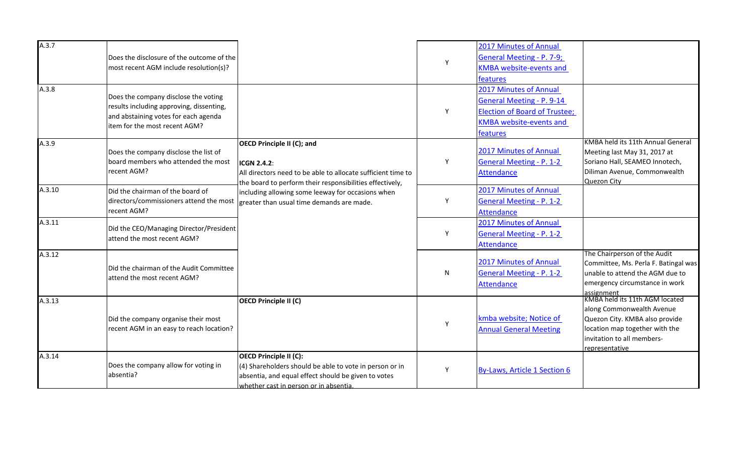| A.3.7  |                                                                       |                                                              |              | 2017 Minutes of Annual               |                                                                         |
|--------|-----------------------------------------------------------------------|--------------------------------------------------------------|--------------|--------------------------------------|-------------------------------------------------------------------------|
|        | Does the disclosure of the outcome of the                             |                                                              | Y            | General Meeting - P. 7-9;            |                                                                         |
|        | most recent AGM include resolution(s)?                                |                                                              |              | <b>KMBA</b> website-events and       |                                                                         |
|        |                                                                       |                                                              |              | features                             |                                                                         |
| A.3.8  |                                                                       |                                                              |              | 2017 Minutes of Annual               |                                                                         |
|        | Does the company disclose the voting                                  |                                                              |              | General Meeting - P. 9-14            |                                                                         |
|        | results including approving, dissenting,                              |                                                              | Y            | <b>Election of Board of Trustee;</b> |                                                                         |
|        | and abstaining votes for each agenda<br>item for the most recent AGM? |                                                              |              | <b>KMBA</b> website-events and       |                                                                         |
|        |                                                                       |                                                              |              | features                             |                                                                         |
| A.3.9  |                                                                       | <b>OECD Principle II (C); and</b>                            |              |                                      | KMBA held its 11th Annual General                                       |
|        | Does the company disclose the list of                                 |                                                              |              | 2017 Minutes of Annual               | Meeting last May 31, 2017 at                                            |
|        | board members who attended the most                                   | <b>ICGN 2.4.2:</b>                                           | Y            | <b>General Meeting - P. 1-2</b>      | Soriano Hall, SEAMEO Innotech,                                          |
|        | recent AGM?                                                           | All directors need to be able to allocate sufficient time to |              | <b>Attendance</b>                    | Diliman Avenue, Commonwealth                                            |
| A.3.10 |                                                                       | the board to perform their responsibilities effectively,     |              |                                      | Quezon City                                                             |
|        | Did the chairman of the board of                                      | including allowing some leeway for occasions when            |              | 2017 Minutes of Annual               |                                                                         |
|        | directors/commissioners attend the most<br>recent AGM?                | greater than usual time demands are made.                    | Y            | <b>General Meeting - P. 1-2</b>      |                                                                         |
|        |                                                                       |                                                              |              | <b>Attendance</b>                    |                                                                         |
| A.3.11 | Did the CEO/Managing Director/President                               |                                                              |              | 2017 Minutes of Annual               |                                                                         |
|        | attend the most recent AGM?                                           |                                                              | Y            | <b>General Meeting - P. 1-2</b>      |                                                                         |
|        |                                                                       |                                                              |              | <b>Attendance</b>                    |                                                                         |
| A.3.12 |                                                                       |                                                              |              | 2017 Minutes of Annual               | The Chairperson of the Audit                                            |
|        | Did the chairman of the Audit Committee                               |                                                              |              | <b>General Meeting - P. 1-2</b>      | Committee, Ms. Perla F. Batingal was<br>unable to attend the AGM due to |
|        | attend the most recent AGM?                                           |                                                              | $\mathsf{N}$ |                                      | emergency circumstance in work                                          |
|        |                                                                       |                                                              |              | Attendance                           |                                                                         |
| A.3.13 |                                                                       | <b>OECD Principle II (C)</b>                                 |              |                                      | assignment<br>KMBA held its 11th AGM located                            |
|        |                                                                       |                                                              |              |                                      | along Commonwealth Avenue                                               |
|        | Did the company organise their most                                   |                                                              | Υ            | kmba website; Notice of              | Quezon City. KMBA also provide                                          |
|        | recent AGM in an easy to reach location?                              |                                                              |              | <b>Annual General Meeting</b>        | location map together with the                                          |
|        |                                                                       |                                                              |              |                                      | invitation to all members-                                              |
| A.3.14 |                                                                       | <b>OECD Principle II (C):</b>                                |              |                                      | representative                                                          |
|        | Does the company allow for voting in                                  | (4) Shareholders should be able to vote in person or in      |              |                                      |                                                                         |
|        | absentia?                                                             | absentia, and equal effect should be given to votes          | Y            | <b>By-Laws, Article 1 Section 6</b>  |                                                                         |
|        |                                                                       | whether cast in person or in absentia.                       |              |                                      |                                                                         |
|        |                                                                       |                                                              |              |                                      |                                                                         |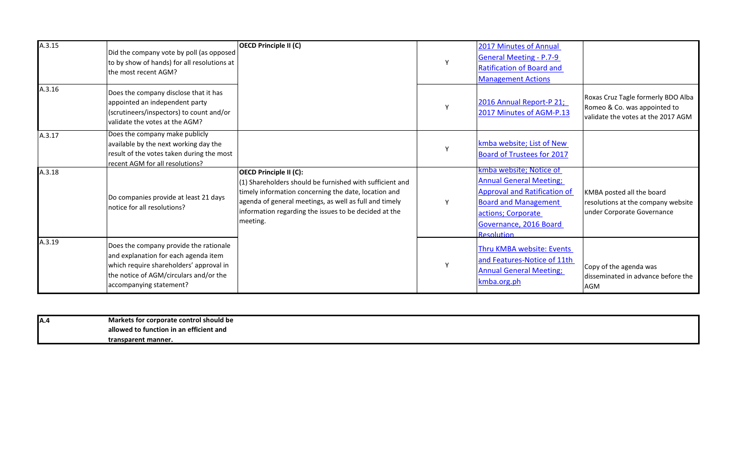| A.3.15 | Did the company vote by poll (as opposed<br>to by show of hands) for all resolutions at<br>the most recent AGM?                                                                                | OECD Principle II (C)                                                                                                                                                                                                                                                            |   | 2017 Minutes of Annual<br><b>General Meeting - P.7-9</b><br><b>Ratification of Board and</b><br><b>Management Actions</b>                                                                            |                                                                                                          |
|--------|------------------------------------------------------------------------------------------------------------------------------------------------------------------------------------------------|----------------------------------------------------------------------------------------------------------------------------------------------------------------------------------------------------------------------------------------------------------------------------------|---|------------------------------------------------------------------------------------------------------------------------------------------------------------------------------------------------------|----------------------------------------------------------------------------------------------------------|
| A.3.16 | Does the company disclose that it has<br>appointed an independent party<br>(scrutineers/inspectors) to count and/or<br>validate the votes at the AGM?                                          |                                                                                                                                                                                                                                                                                  |   | 2016 Annual Report-P 21;<br>2017 Minutes of AGM-P.13                                                                                                                                                 | Roxas Cruz Tagle formerly BDO Alba<br>Romeo & Co. was appointed to<br>validate the votes at the 2017 AGM |
| A.3.17 | Does the company make publicly<br>available by the next working day the<br>result of the votes taken during the most<br>recent AGM for all resolutions?                                        |                                                                                                                                                                                                                                                                                  |   | kmba website; List of New<br><b>Board of Trustees for 2017</b>                                                                                                                                       |                                                                                                          |
| A.3.18 | Do companies provide at least 21 days<br>notice for all resolutions?                                                                                                                           | <b>OECD Principle II (C):</b><br>(1) Shareholders should be furnished with sufficient and<br>timely information concerning the date, location and<br>agenda of general meetings, as well as full and timely<br>information regarding the issues to be decided at the<br>meeting. | Y | kmba website; Notice of<br><b>Annual General Meeting;</b><br><b>Approval and Ratification of</b><br><b>Board and Management</b><br>actions; Corporate<br>Governance, 2016 Board<br><b>Resolution</b> | KMBA posted all the board<br>resolutions at the company website<br>under Corporate Governance            |
| A.3.19 | Does the company provide the rationale<br>and explanation for each agenda item<br>which require shareholders' approval in<br>the notice of AGM/circulars and/or the<br>accompanying statement? |                                                                                                                                                                                                                                                                                  | Y | Thru KMBA website: Events<br>and Features-Notice of 11th<br><b>Annual General Meeting;</b><br>kmba.org.ph                                                                                            | Copy of the agenda was<br>disseminated in advance before the<br>AGM                                      |

| $\mathbf{v}$<br>- - | <b>Markets for o</b><br>r corporate control should be |
|---------------------|-------------------------------------------------------|
|                     | allowed to function in an efficient and               |
|                     | transparent manner.                                   |